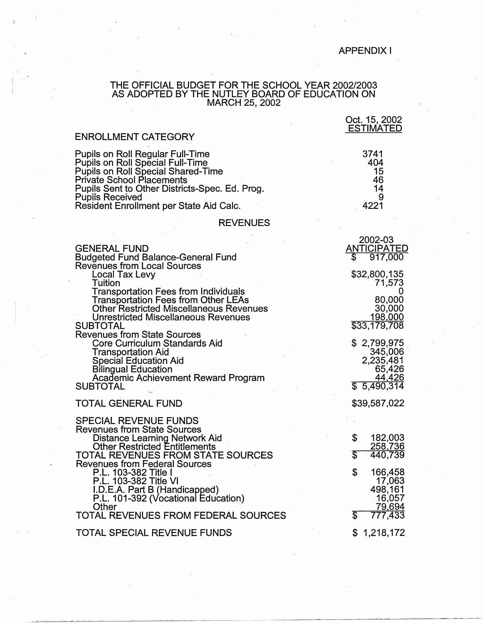## APPENDIX I

#### THE OFFICIAL BUDGET FOR THE SCHOOL YEAR 2002/2003 AS ADOPTED BY THE NUTLEY BOARD OF EDUCATION ON MARCH 25, 2002

|                                                                                                                                                                                                                                                                                            | Oct. 15, 2002<br><b>ESTIMATED</b>                                      |
|--------------------------------------------------------------------------------------------------------------------------------------------------------------------------------------------------------------------------------------------------------------------------------------------|------------------------------------------------------------------------|
| <b>ENROLLMENT CATEGORY</b>                                                                                                                                                                                                                                                                 |                                                                        |
| <b>Pupils on Roll Regular Full-Time</b><br><b>Pupils on Roll Special Full-Time</b><br><b>Pupils on Roll Special Shared-Time</b><br><b>Private School Placements</b><br>Pupils Sent to Other Districts-Spec. Ed. Prog.<br><b>Pupils Received</b><br>Resident Enrollment per State Aid Calc. | 3741<br>404<br>15<br>46<br>14<br>9<br>4221                             |
| <b>REVENUES</b>                                                                                                                                                                                                                                                                            |                                                                        |
| <b>GENERAL FUND</b><br><b>Budgeted Fund Balance-General Fund</b><br><b>Revenues from Local Sources</b><br>Local Tax Levy                                                                                                                                                                   | 2002-03<br><b>ANTICIPATED</b><br>917,000<br>\$<br>\$32,800,135         |
| Tuition<br><b>Transportation Fees from Individuals</b><br><b>Transportation Fees from Other LEAs</b><br><b>Other Restricted Miscellaneous Revenues</b><br><b>Unrestricted Miscellaneous Revenues</b><br><b>SUBTOTAL</b><br><b>Revenues from State Sources</b>                              | 71,573<br>80,000<br>30,000<br>198,000<br>\$33,179,708                  |
| Core Curriculum Standards Aid<br>Transportation Aid<br><b>Special Education Aid</b><br><b>Bilingual Education</b><br><b>Academic Achievement Reward Program</b><br><b>SUBTOTAL</b>                                                                                                         | \$2,799,975<br>345,006<br>2,235,481<br>65,426<br>44,426<br>\$5,490,314 |
| <b>TOTAL GENERAL FUND</b>                                                                                                                                                                                                                                                                  | \$39,587,022                                                           |
| <b>SPECIAL REVENUE FUNDS</b><br><b>Revenues from State Sources</b><br>Distance Learning Network Aid<br>Other Restricted Entitlements<br>TOTAL REVENUES FROM STATE SOURCES<br><b>Revenues from Federal Sources</b>                                                                          | \$<br>182,003<br>258,736<br>T<br>440,739                               |
| P.L. 103-382 Title I<br>P.L. 103-382 Title VI<br>I.D.E.A. Part B (Handicapped)<br>P.L. 101-392 (Vocational Education)<br>Other<br>TOTAL REVENUES FROM FEDERAL SOURCES                                                                                                                      | \$<br>166,458<br>17,063<br>498,161<br>16,057<br>79,694<br>777,433<br>S |
| <b>TOTAL SPECIAL REVENUE FUNDS</b>                                                                                                                                                                                                                                                         | \$<br>1,218,172                                                        |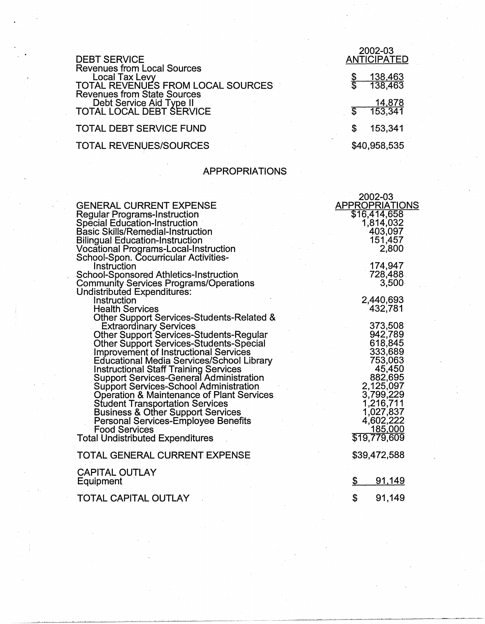| <b>DEBT SERVICE</b>                                                                                                                    | 2002-03<br><b>ANTICIPATED</b> |
|----------------------------------------------------------------------------------------------------------------------------------------|-------------------------------|
| <b>Revenues from Local Sources</b><br><b>Local Tax Levy</b><br>TOTAL REVENUES FROM LOCAL SOURCES<br><b>Revenues from State Sources</b> | <u>138,463</u><br>138,463     |
| Debt Service Aid Type II<br>TOTAL LOCAL DEBT SERVICE                                                                                   | 14,878<br>153,341             |
| TOTAL DEBT SERVICE FUND                                                                                                                | 153,341                       |
| <b>TOTAL REVENUES/SOURCES</b>                                                                                                          | \$40,958,535                  |

# APPROPRIATIONS

 $\bar{\gamma}$ 

|                                                                     | 2002-03               |
|---------------------------------------------------------------------|-----------------------|
| <b>GENERAL CURRENT EXPENSE</b>                                      | <b>APPROPRIATIONS</b> |
| <b>Regular Programs-Instruction</b>                                 | \$16,414,658          |
| <b>Special Education-Instruction</b>                                | 1,814,032             |
| <b>Basic Skills/Remedial-Instruction</b>                            | 403,097               |
| <b>Bilingual Education-Instruction</b>                              | 151,457               |
| Vocational Programs-Local-Instruction                               | 2,800                 |
| School-Spon. Cocurricular Activities-                               |                       |
| Instruction                                                         | 174,947               |
| School-Sponsored Athletics-Instruction                              | 728,488               |
| <b>Community Services Programs/Operations</b>                       | 3,500                 |
| Undistributed Expenditures:                                         |                       |
| Instruction                                                         | 2,440,693<br>432,781  |
| <b>Health Services</b><br>Other Support Services-Students-Related & |                       |
| <b>Extraordinary Services</b>                                       | 373,508               |
| Other Support Services-Students-Regular                             | 942,789               |
| Other Support Services-Students-Special                             | 618,845               |
| <b>Improvement of Instructional Services</b>                        | 333,689               |
| <b>Educational Media Services/School Library</b>                    | 753,063               |
| <b>Instructional Staff Training Services</b>                        | 45,450                |
| <b>Support Services-General Administration</b>                      | 882,695               |
| <b>Support Services-School Administration</b>                       | 2,125,097             |
| <b>Operation &amp; Maintenance of Plant Services</b>                | 3,799,229             |
| <b>Student Transportation Services</b>                              | 1,216,711             |
| <b>Business &amp; Other Support Services</b>                        | 1,027,837             |
| <b>Personal Services-Employee Benefits</b>                          | 4,602,222             |
| <b>Food Services</b>                                                | 185,000               |
| <b>Total Undistributed Expenditures</b>                             | \$19,779,609          |
| TOTAL GENERAL CURRENT EXPENSE                                       | \$39,472,588          |
| <b>CAPITAL OUTLAY</b>                                               |                       |
| Equipment                                                           | \$<br>91,149          |
|                                                                     |                       |
| TOTAL CAPITAL OUTLAY                                                | \$<br>91,149          |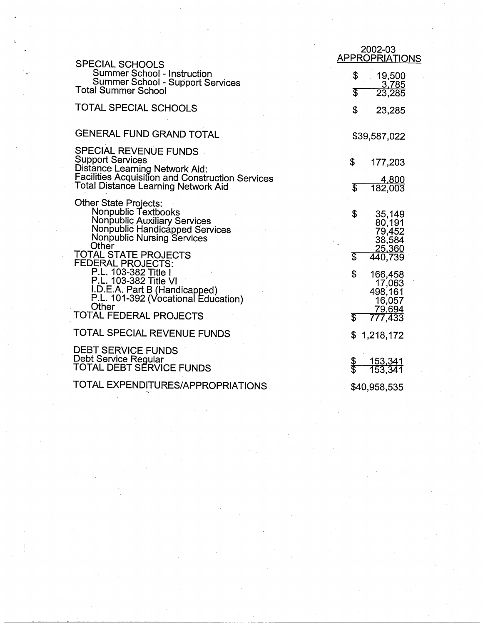|                                                                                                                                                                                                           | 2002-03<br><b>APPROPRIATIONS</b>                                                           |
|-----------------------------------------------------------------------------------------------------------------------------------------------------------------------------------------------------------|--------------------------------------------------------------------------------------------|
| <b>SPECIAL SCHOOLS</b><br><b>Summer School - Instruction</b><br><b>Summer School - Support Services</b><br><b>Total Summer School</b>                                                                     | \$<br>19,500<br><u>_3,785</u><br>23,285<br>S                                               |
| TOTAL SPECIAL SCHOOLS                                                                                                                                                                                     | \$<br>23,285                                                                               |
| <b>GENERAL FUND GRAND TOTAL</b>                                                                                                                                                                           | \$39,587,022                                                                               |
| <b>SPECIAL REVENUE FUNDS</b><br><b>Support Services</b><br><b>Distance Learning Network Aid:</b><br><b>Facilities Acquisition and Construction Services</b><br><b>Total Distance Learning Network Aid</b> | \$<br>177,203<br>4,800<br>182,003<br>T                                                     |
| <b>Other State Projects:</b><br>Nonpublic Textbooks<br>Nonpublic Auxiliary Services<br>Nonpublic Handicapped Services<br><b>Nonpublic Nursing Services</b><br>Other<br>TOTAL STATE PROJECTS               | \$<br>35,149<br>80,191<br>79,452<br>38,584<br>25,360<br>$\overline{\mathbb{S}}$<br>440,739 |
| FEDERAL PROJECTS:<br>P.L. 103-382 Title I<br>P.L. 103-382 Title VI<br>I.D.E.A. Part B (Handicapped)<br>P.L. 101-392 (Vocational Education)<br>Other<br>TOTAL FEDERAL PROJECTS                             | \$<br>166,458<br>17,063<br>498,161<br>16,057<br>79,694<br>777,433<br>\$                    |
| TOTAL SPECIAL REVENUE FUNDS                                                                                                                                                                               | \$<br>1,218,172                                                                            |
| <b>DEBT SERVICE FUNDS</b><br>Debt Service Regular<br>TOTAL DEBT SĚRVICE FUNDS                                                                                                                             | $\frac{1}{3}$<br><u>153,341</u><br>153,341                                                 |
| TOTAL EXPENDITURES/APPROPRIATIONS                                                                                                                                                                         | \$40,958,535                                                                               |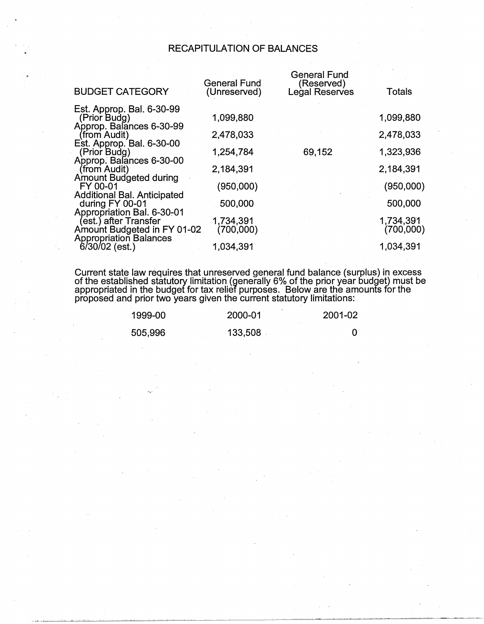# RECAPITULATION OF BALANCES

| <b>BUDGET CATEGORY</b>                                                              | <b>General Fund</b><br>(Unreserved) | General Fund<br>(Reserved)<br>Legal Reserves | Totals                 |
|-------------------------------------------------------------------------------------|-------------------------------------|----------------------------------------------|------------------------|
| Est. Approp. Bal. 6-30-99<br>(Prior Budg)<br>Approp. Balances 6-30-99               | 1,099,880                           |                                              | 1,099,880              |
| (from Audit)                                                                        | 2,478,033                           |                                              | 2,478,033              |
| Est. Approp. Bal. 6-30-00<br>(Prior Budg)                                           | 1,254,784                           | 69,152                                       | 1,323,936              |
| Approp. Balances 6-30-00<br>(from Audit)                                            | 2,184,391                           |                                              | 2,184,391              |
| Amount Budgeted during<br>FY 00-01                                                  | (950,000)                           |                                              | (950,000)              |
| <b>Additional Bal. Anticipated</b><br>during FY 00-01<br>Appropriation Bal. 6-30-01 | 500,000                             |                                              | 500,000                |
| (est.) after Transfer<br>Amount Budgeted in FY 01-02                                | 1,734,391<br>(700,000)              |                                              | 1.734,391<br>(700,000) |
| <b>Appropriation Balances</b><br>$6/30/02$ (est.)                                   | 1,034,391                           |                                              | 1,034,391              |

Current state law requires that unreserved general fund balance (surplus) in excess of the established statutory limitation (generally 6% of the prior year budget) must be appropriated in the budget for tax relief purposes. Below are the amounts for the proposed and prior two years given the current statutory limitations:

| 1999-00 | 2000-01 | 2001-02 |
|---------|---------|---------|
| 505,996 | 133,508 |         |